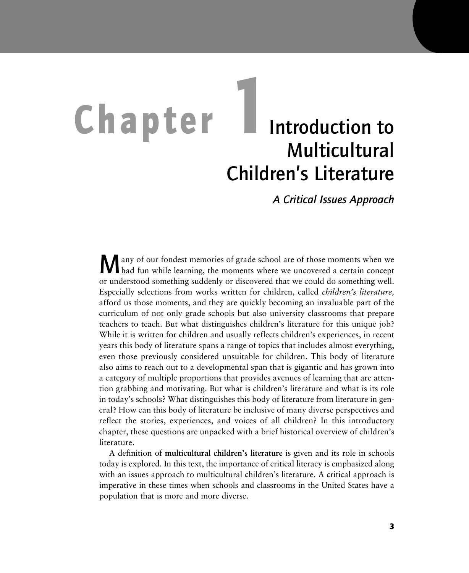# **Chapter 1**Introduction to **Multicultural** Children's Literature

*A Critical Issues Approach*

Many of our fondest memories of grade school are of those moments when we had fun while learning, the moments where we uncovered a certain concept or understood something suddenly or discovered that we could do something well. Especially selections from works written for children, called *children's literature,* afford us those moments, and they are quickly becoming an invaluable part of the curriculum of not only grade schools but also university classrooms that prepare teachers to teach. But what distinguishes children's literature for this unique job? While it is written for children and usually reflects children's experiences, in recent years this body of literature spans a range of topics that includes almost everything, even those previously considered unsuitable for children. This body of literature also aims to reach out to a developmental span that is gigantic and has grown into a category of multiple proportions that provides avenues of learning that are attention grabbing and motivating. But what is children's literature and what is its role in today's schools? What distinguishes this body of literature from literature in general? How can this body of literature be inclusive of many diverse perspectives and reflect the stories, experiences, and voices of all children? In this introductory chapter, these questions are unpacked with a brief historical overview of children's literature.

A definition of **multicultural children's literature** is given and its role in schools today is explored. In this text, the importance of critical literacy is emphasized along with an issues approach to multicultural children's literature. A critical approach is imperative in these times when schools and classrooms in the United States have a population that is more and more diverse.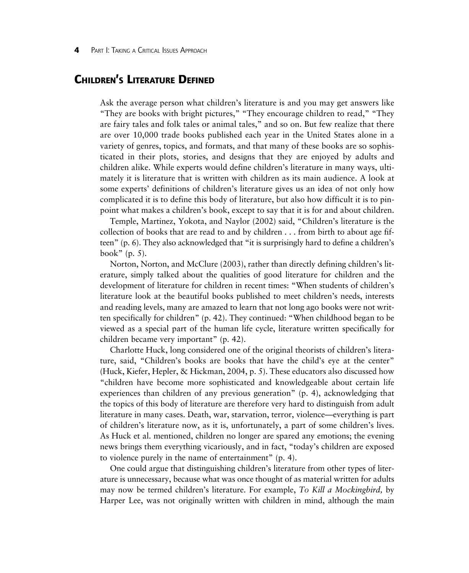# **CHILDREN'S LITERATURE DEFINED**

Ask the average person what children's literature is and you may get answers like "They are books with bright pictures," "They encourage children to read," "They are fairy tales and folk tales or animal tales," and so on. But few realize that there are over 10,000 trade books published each year in the United States alone in a variety of genres, topics, and formats, and that many of these books are so sophisticated in their plots, stories, and designs that they are enjoyed by adults and children alike. While experts would define children's literature in many ways, ultimately it is literature that is written with children as its main audience. A look at some experts' definitions of children's literature gives us an idea of not only how complicated it is to define this body of literature, but also how difficult it is to pinpoint what makes a children's book, except to say that it is for and about children.

Temple, Martinez, Yokota, and Naylor (2002) said, "Children's literature is the collection of books that are read to and by children ... from birth to about age fifteen" (p. 6). They also acknowledged that "it is surprisingly hard to define a children's book" (p. 5).

Norton, Norton, and McClure (2003), rather than directly defining children's literature, simply talked about the qualities of good literature for children and the development of literature for children in recent times: "When students of children's literature look at the beautiful books published to meet children's needs, interests and reading levels, many are amazed to learn that not long ago books were not written specifically for children" (p. 42). They continued: "When childhood began to be viewed as a special part of the human life cycle, literature written specifically for children became very important" (p. 42).

Charlotte Huck, long considered one of the original theorists of children's literature, said, "Children's books are books that have the child's eye at the center" (Huck, Kiefer, Hepler, & Hickman, 2004, p. 5). These educators also discussed how "children have become more sophisticated and knowledgeable about certain life experiences than children of any previous generation" (p. 4), acknowledging that the topics of this body of literature are therefore very hard to distinguish from adult literature in many cases. Death, war, starvation, terror, violence—everything is part of children's literature now, as it is, unfortunately, a part of some children's lives. As Huck et al. mentioned, children no longer are spared any emotions; the evening news brings them everything vicariously, and in fact, "today's children are exposed to violence purely in the name of entertainment" (p. 4).

One could argue that distinguishing children's literature from other types of literature is unnecessary, because what was once thought of as material written for adults may now be termed children's literature. For example, *To Kill a Mockingbird,* by Harper Lee, was not originally written with children in mind, although the main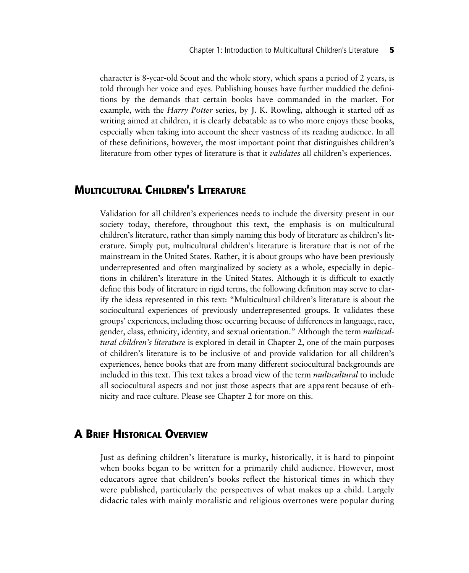character is 8-year-old Scout and the whole story, which spans a period of 2 years, is told through her voice and eyes. Publishing houses have further muddied the definitions by the demands that certain books have commanded in the market. For example, with the *Harry Potter* series, by J. K. Rowling, although it started off as writing aimed at children, it is clearly debatable as to who more enjoys these books, especially when taking into account the sheer vastness of its reading audience. In all of these definitions, however, the most important point that distinguishes children's literature from other types of literature is that it *validates* all children's experiences.

# **MULTICULTURAL CHILDREN'S LITERATURE**

Validation for all children's experiences needs to include the diversity present in our society today, therefore, throughout this text, the emphasis is on multicultural children's literature, rather than simply naming this body of literature as children's literature. Simply put, multicultural children's literature is literature that is not of the mainstream in the United States. Rather, it is about groups who have been previously underrepresented and often marginalized by society as a whole, especially in depictions in children's literature in the United States. Although it is difficult to exactly define this body of literature in rigid terms, the following definition may serve to clarify the ideas represented in this text: "Multicultural children's literature is about the sociocultural experiences of previously underrepresented groups. It validates these groups' experiences, including those occurring because of differences in language, race, gender, class, ethnicity, identity, and sexual orientation." Although the term *multicultural children's literature* is explored in detail in Chapter 2, one of the main purposes of children's literature is to be inclusive of and provide validation for all children's experiences, hence books that are from many different sociocultural backgrounds are included in this text. This text takes a broad view of the term *multicultural* to include all sociocultural aspects and not just those aspects that are apparent because of ethnicity and race culture. Please see Chapter 2 for more on this.

# **A BRIEF HISTORICAL OVERVIEW**

Just as defining children's literature is murky, historically, it is hard to pinpoint when books began to be written for a primarily child audience. However, most educators agree that children's books reflect the historical times in which they were published, particularly the perspectives of what makes up a child. Largely didactic tales with mainly moralistic and religious overtones were popular during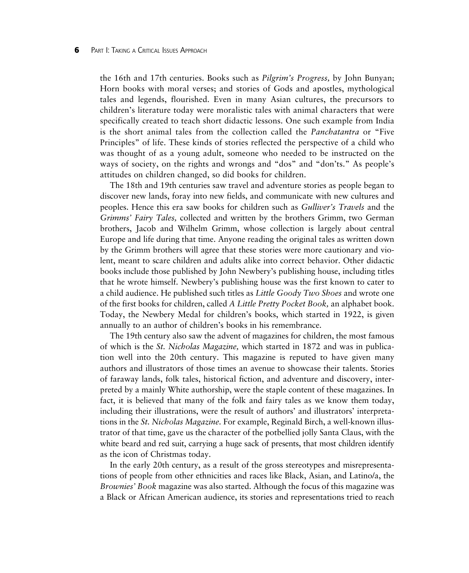#### **6** PART I: TAKING A CRITICAL ISSUES APPROACH

the 16th and 17th centuries. Books such as *Pilgrim's Progress,* by John Bunyan; Horn books with moral verses; and stories of Gods and apostles, mythological tales and legends, flourished. Even in many Asian cultures, the precursors to children's literature today were moralistic tales with animal characters that were specifically created to teach short didactic lessons. One such example from India is the short animal tales from the collection called the *Panchatantra* or "Five Principles" of life. These kinds of stories reflected the perspective of a child who was thought of as a young adult, someone who needed to be instructed on the ways of society, on the rights and wrongs and "dos" and "don'ts." As people's attitudes on children changed, so did books for children.

The 18th and 19th centuries saw travel and adventure stories as people began to discover new lands, foray into new fields, and communicate with new cultures and peoples. Hence this era saw books for children such as *Gulliver's Travels* and the *Grimms' Fairy Tales,* collected and written by the brothers Grimm, two German brothers, Jacob and Wilhelm Grimm, whose collection is largely about central Europe and life during that time. Anyone reading the original tales as written down by the Grimm brothers will agree that these stories were more cautionary and violent, meant to scare children and adults alike into correct behavior. Other didactic books include those published by John Newbery's publishing house, including titles that he wrote himself. Newbery's publishing house was the first known to cater to a child audience. He published such titles as *Little Goody Two Shoes* and wrote one of the first books for children, called *A Little Pretty Pocket Book,* an alphabet book. Today, the Newbery Medal for children's books, which started in 1922, is given annually to an author of children's books in his remembrance.

The 19th century also saw the advent of magazines for children, the most famous of which is the *St. Nicholas Magazine,* which started in 1872 and was in publication well into the 20th century. This magazine is reputed to have given many authors and illustrators of those times an avenue to showcase their talents. Stories of faraway lands, folk tales, historical fiction, and adventure and discovery, interpreted by a mainly White authorship, were the staple content of these magazines. In fact, it is believed that many of the folk and fairy tales as we know them today, including their illustrations, were the result of authors' and illustrators' interpretations in the *St. Nicholas Magazine.* For example, Reginald Birch, a well-known illustrator of that time, gave us the character of the potbellied jolly Santa Claus, with the white beard and red suit, carrying a huge sack of presents, that most children identify as the icon of Christmas today.

In the early 20th century, as a result of the gross stereotypes and misrepresentations of people from other ethnicities and races like Black, Asian, and Latino/a, the *Brownies' Book* magazine was also started. Although the focus of this magazine was a Black or African American audience, its stories and representations tried to reach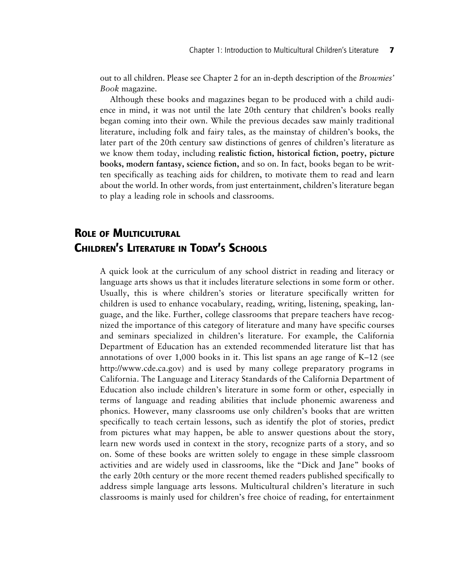out to all children. Please see Chapter 2 for an in-depth description of the *Brownies' Book* magazine.

Although these books and magazines began to be produced with a child audience in mind, it was not until the late 20th century that children's books really began coming into their own. While the previous decades saw mainly traditional literature, including folk and fairy tales, as the mainstay of children's books, the later part of the 20th century saw distinctions of genres of children's literature as we know them today, including **realistic fiction, historical fiction, poetry, picture books, modern fantasy, science fiction,** and so on. In fact, books began to be written specifically as teaching aids for children, to motivate them to read and learn about the world. In other words, from just entertainment, children's literature began to play a leading role in schools and classrooms.

# **ROLE OF MULTICULTURAL CHILDREN'S LITERATURE IN TODAY'S SCHOOLS**

A quick look at the curriculum of any school district in reading and literacy or language arts shows us that it includes literature selections in some form or other. Usually, this is where children's stories or literature specifically written for children is used to enhance vocabulary, reading, writing, listening, speaking, language, and the like. Further, college classrooms that prepare teachers have recognized the importance of this category of literature and many have specific courses and seminars specialized in children's literature. For example, the California Department of Education has an extended recommended literature list that has annotations of over 1,000 books in it. This list spans an age range of K–12 (see http://www.cde.ca.gov) and is used by many college preparatory programs in California. The Language and Literacy Standards of the California Department of Education also include children's literature in some form or other, especially in terms of language and reading abilities that include phonemic awareness and phonics. However, many classrooms use only children's books that are written specifically to teach certain lessons, such as identify the plot of stories, predict from pictures what may happen, be able to answer questions about the story, learn new words used in context in the story, recognize parts of a story, and so on. Some of these books are written solely to engage in these simple classroom activities and are widely used in classrooms, like the "Dick and Jane" books of the early 20th century or the more recent themed readers published specifically to address simple language arts lessons. Multicultural children's literature in such classrooms is mainly used for children's free choice of reading, for entertainment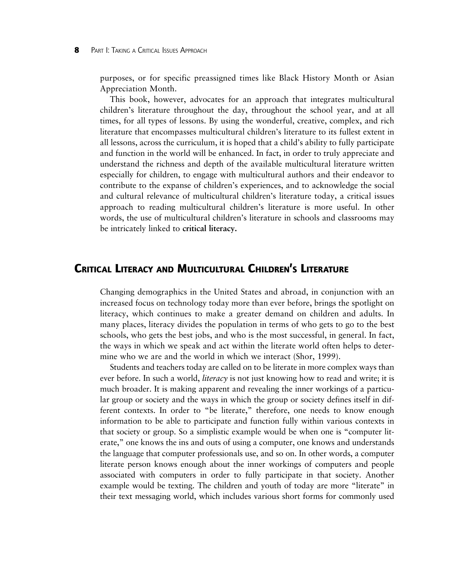purposes, or for specific preassigned times like Black History Month or Asian Appreciation Month.

This book, however, advocates for an approach that integrates multicultural children's literature throughout the day, throughout the school year, and at all times, for all types of lessons. By using the wonderful, creative, complex, and rich literature that encompasses multicultural children's literature to its fullest extent in all lessons, across the curriculum, it is hoped that a child's ability to fully participate and function in the world will be enhanced. In fact, in order to truly appreciate and understand the richness and depth of the available multicultural literature written especially for children, to engage with multicultural authors and their endeavor to contribute to the expanse of children's experiences, and to acknowledge the social and cultural relevance of multicultural children's literature today, a critical issues approach to reading multicultural children's literature is more useful. In other words, the use of multicultural children's literature in schools and classrooms may be intricately linked to **critical literacy.**

## **CRITICAL LITERACY AND MULTICULTURAL CHILDREN'S LITERATURE**

Changing demographics in the United States and abroad, in conjunction with an increased focus on technology today more than ever before, brings the spotlight on literacy, which continues to make a greater demand on children and adults. In many places, literacy divides the population in terms of who gets to go to the best schools, who gets the best jobs, and who is the most successful, in general. In fact, the ways in which we speak and act within the literate world often helps to determine who we are and the world in which we interact (Shor, 1999).

Students and teachers today are called on to be literate in more complex ways than ever before. In such a world, *literacy* is not just knowing how to read and write; it is much broader. It is making apparent and revealing the inner workings of a particular group or society and the ways in which the group or society defines itself in different contexts. In order to "be literate," therefore, one needs to know enough information to be able to participate and function fully within various contexts in that society or group. So a simplistic example would be when one is "computer literate," one knows the ins and outs of using a computer, one knows and understands the language that computer professionals use, and so on. In other words, a computer literate person knows enough about the inner workings of computers and people associated with computers in order to fully participate in that society. Another example would be texting. The children and youth of today are more "literate" in their text messaging world, which includes various short forms for commonly used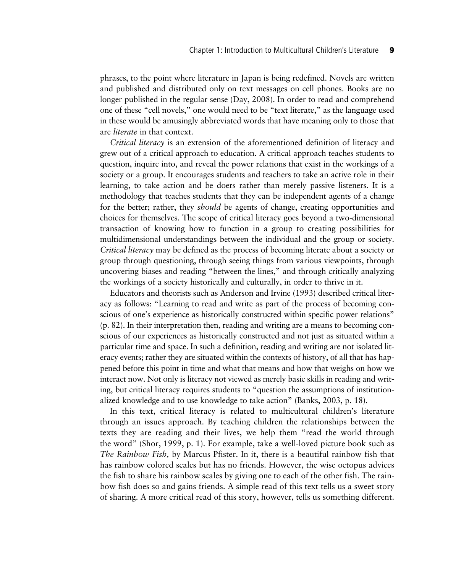phrases, to the point where literature in Japan is being redefined. Novels are written and published and distributed only on text messages on cell phones. Books are no longer published in the regular sense (Day, 2008). In order to read and comprehend one of these "cell novels," one would need to be "text literate," as the language used in these would be amusingly abbreviated words that have meaning only to those that are *literate* in that context.

*Critical literacy* is an extension of the aforementioned definition of literacy and grew out of a critical approach to education. A critical approach teaches students to question, inquire into, and reveal the power relations that exist in the workings of a society or a group. It encourages students and teachers to take an active role in their learning, to take action and be doers rather than merely passive listeners. It is a methodology that teaches students that they can be independent agents of a change for the better; rather, they *should* be agents of change, creating opportunities and choices for themselves. The scope of critical literacy goes beyond a two-dimensional transaction of knowing how to function in a group to creating possibilities for multidimensional understandings between the individual and the group or society. *Critical literacy* may be defined as the process of becoming literate about a society or group through questioning, through seeing things from various viewpoints, through uncovering biases and reading "between the lines," and through critically analyzing the workings of a society historically and culturally, in order to thrive in it.

Educators and theorists such as Anderson and Irvine (1993) described critical literacy as follows: "Learning to read and write as part of the process of becoming conscious of one's experience as historically constructed within specific power relations" (p. 82). In their interpretation then, reading and writing are a means to becoming conscious of our experiences as historically constructed and not just as situated within a particular time and space. In such a definition, reading and writing are not isolated literacy events; rather they are situated within the contexts of history, of all that has happened before this point in time and what that means and how that weighs on how we interact now. Not only is literacy not viewed as merely basic skills in reading and writing, but critical literacy requires students to "question the assumptions of institutionalized knowledge and to use knowledge to take action" (Banks, 2003, p. 18).

In this text, critical literacy is related to multicultural children's literature through an issues approach. By teaching children the relationships between the texts they are reading and their lives, we help them "read the world through the word" (Shor, 1999, p. 1). For example, take a well-loved picture book such as *The Rainbow Fish,* by Marcus Pfister. In it, there is a beautiful rainbow fish that has rainbow colored scales but has no friends. However, the wise octopus advices the fish to share his rainbow scales by giving one to each of the other fish. The rainbow fish does so and gains friends. A simple read of this text tells us a sweet story of sharing. A more critical read of this story, however, tells us something different.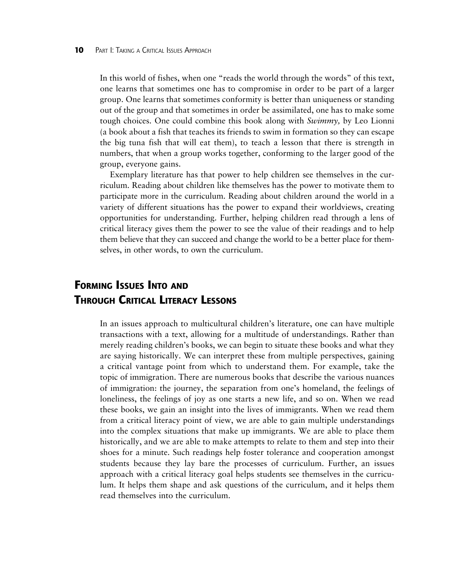In this world of fishes, when one "reads the world through the words" of this text, one learns that sometimes one has to compromise in order to be part of a larger group. One learns that sometimes conformity is better than uniqueness or standing out of the group and that sometimes in order be assimilated, one has to make some tough choices. One could combine this book along with *Swimmy,* by Leo Lionni (a book about a fish that teaches its friends to swim in formation so they can escape the big tuna fish that will eat them), to teach a lesson that there is strength in numbers, that when a group works together, conforming to the larger good of the group, everyone gains.

Exemplary literature has that power to help children see themselves in the curriculum. Reading about children like themselves has the power to motivate them to participate more in the curriculum. Reading about children around the world in a variety of different situations has the power to expand their worldviews, creating opportunities for understanding. Further, helping children read through a lens of critical literacy gives them the power to see the value of their readings and to help them believe that they can succeed and change the world to be a better place for themselves, in other words, to own the curriculum.

# **FORMING ISSUES INTO AND THROUGH CRITICAL LITERACY LESSONS**

In an issues approach to multicultural children's literature, one can have multiple transactions with a text, allowing for a multitude of understandings. Rather than merely reading children's books, we can begin to situate these books and what they are saying historically. We can interpret these from multiple perspectives, gaining a critical vantage point from which to understand them. For example, take the topic of immigration. There are numerous books that describe the various nuances of immigration: the journey, the separation from one's homeland, the feelings of loneliness, the feelings of joy as one starts a new life, and so on. When we read these books, we gain an insight into the lives of immigrants. When we read them from a critical literacy point of view, we are able to gain multiple understandings into the complex situations that make up immigrants. We are able to place them historically, and we are able to make attempts to relate to them and step into their shoes for a minute. Such readings help foster tolerance and cooperation amongst students because they lay bare the processes of curriculum. Further, an issues approach with a critical literacy goal helps students see themselves in the curriculum. It helps them shape and ask questions of the curriculum, and it helps them read themselves into the curriculum.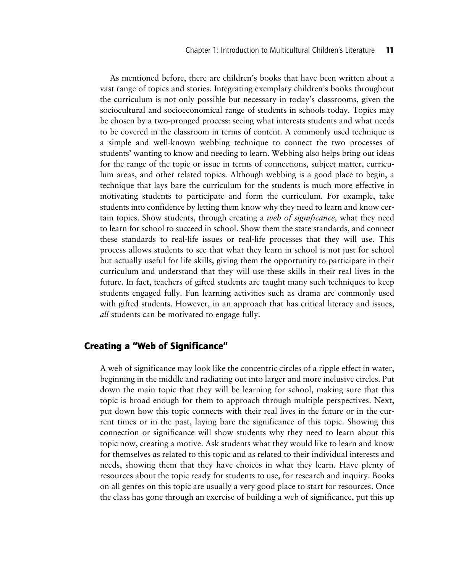As mentioned before, there are children's books that have been written about a vast range of topics and stories. Integrating exemplary children's books throughout the curriculum is not only possible but necessary in today's classrooms, given the sociocultural and socioeconomical range of students in schools today. Topics may be chosen by a two-pronged process: seeing what interests students and what needs to be covered in the classroom in terms of content. A commonly used technique is a simple and well-known webbing technique to connect the two processes of students' wanting to know and needing to learn. Webbing also helps bring out ideas for the range of the topic or issue in terms of connections, subject matter, curriculum areas, and other related topics. Although webbing is a good place to begin, a technique that lays bare the curriculum for the students is much more effective in motivating students to participate and form the curriculum. For example, take students into confidence by letting them know why they need to learn and know certain topics. Show students, through creating a *web of significance,* what they need to learn for school to succeed in school. Show them the state standards, and connect these standards to real-life issues or real-life processes that they will use. This process allows students to see that what they learn in school is not just for school but actually useful for life skills, giving them the opportunity to participate in their curriculum and understand that they will use these skills in their real lives in the future. In fact, teachers of gifted students are taught many such techniques to keep students engaged fully. Fun learning activities such as drama are commonly used with gifted students. However, in an approach that has critical literacy and issues, *all* students can be motivated to engage fully.

## **Creating a "Web of Significance"**

A web of significance may look like the concentric circles of a ripple effect in water, beginning in the middle and radiating out into larger and more inclusive circles. Put down the main topic that they will be learning for school, making sure that this topic is broad enough for them to approach through multiple perspectives. Next, put down how this topic connects with their real lives in the future or in the current times or in the past, laying bare the significance of this topic. Showing this connection or significance will show students why they need to learn about this topic now, creating a motive. Ask students what they would like to learn and know for themselves as related to this topic and as related to their individual interests and needs, showing them that they have choices in what they learn. Have plenty of resources about the topic ready for students to use, for research and inquiry. Books on all genres on this topic are usually a very good place to start for resources. Once the class has gone through an exercise of building a web of significance, put this up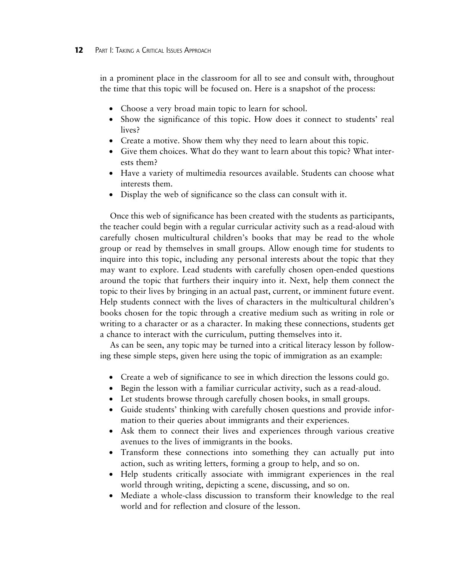#### **12** PART I: TAKING A CRITICAL ISSUES APPROACH

in a prominent place in the classroom for all to see and consult with, throughout the time that this topic will be focused on. Here is a snapshot of the process:

- Choose a very broad main topic to learn for school.
- Show the significance of this topic. How does it connect to students' real lives?
- Create a motive. Show them why they need to learn about this topic.
- Give them choices. What do they want to learn about this topic? What interests them?
- Have a variety of multimedia resources available. Students can choose what interests them.
- Display the web of significance so the class can consult with it.

Once this web of significance has been created with the students as participants, the teacher could begin with a regular curricular activity such as a read-aloud with carefully chosen multicultural children's books that may be read to the whole group or read by themselves in small groups. Allow enough time for students to inquire into this topic, including any personal interests about the topic that they may want to explore. Lead students with carefully chosen open-ended questions around the topic that furthers their inquiry into it. Next, help them connect the topic to their lives by bringing in an actual past, current, or imminent future event. Help students connect with the lives of characters in the multicultural children's books chosen for the topic through a creative medium such as writing in role or writing to a character or as a character. In making these connections, students get a chance to interact with the curriculum, putting themselves into it.

As can be seen, any topic may be turned into a critical literacy lesson by following these simple steps, given here using the topic of immigration as an example:

- Create a web of significance to see in which direction the lessons could go.
- Begin the lesson with a familiar curricular activity, such as a read-aloud.
- Let students browse through carefully chosen books, in small groups.
- Guide students' thinking with carefully chosen questions and provide information to their queries about immigrants and their experiences.
- Ask them to connect their lives and experiences through various creative avenues to the lives of immigrants in the books.
- Transform these connections into something they can actually put into action, such as writing letters, forming a group to help, and so on.
- Help students critically associate with immigrant experiences in the real world through writing, depicting a scene, discussing, and so on.
- Mediate a whole-class discussion to transform their knowledge to the real world and for reflection and closure of the lesson.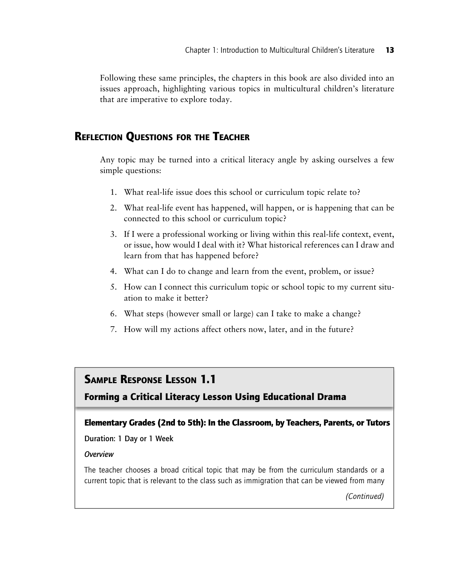Following these same principles, the chapters in this book are also divided into an issues approach, highlighting various topics in multicultural children's literature that are imperative to explore today.

# **REFLECTION QUESTIONS FOR THE TEACHER**

Any topic may be turned into a critical literacy angle by asking ourselves a few simple questions:

- 1. What real-life issue does this school or curriculum topic relate to?
- 2. What real-life event has happened, will happen, or is happening that can be connected to this school or curriculum topic?
- 3. If I were a professional working or living within this real-life context, event, or issue, how would I deal with it? What historical references can I draw and learn from that has happened before?
- 4. What can I do to change and learn from the event, problem, or issue?
- 5. How can I connect this curriculum topic or school topic to my current situation to make it better?
- 6. What steps (however small or large) can I take to make a change?
- 7. How will my actions affect others now, later, and in the future?

# **SAMPLE RESPONSE LESSON 1.1**

**Forming a Critical Literacy Lesson Using Educational Drama**

### **Elementary Grades (2nd to 5th): In the Classroom, by Teachers, Parents, or Tutors**

#### Duration: 1 Day or 1 Week

#### *Overview*

The teacher chooses a broad critical topic that may be from the curriculum standards or a current topic that is relevant to the class such as immigration that can be viewed from many

*(Continued)*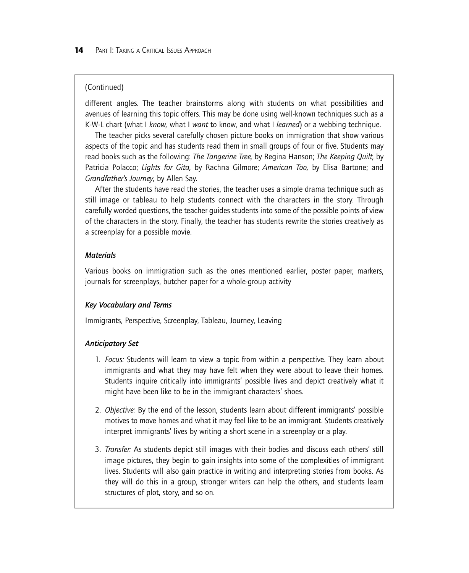## (Continued)

different angles. The teacher brainstorms along with students on what possibilities and avenues of learning this topic offers. This may be done using well-known techniques such as a K-W-L chart (what I *know,* what I *want* to know, and what I *learned*) or a webbing technique.

The teacher picks several carefully chosen picture books on immigration that show various aspects of the topic and has students read them in small groups of four or five. Students may read books such as the following: *The Tangerine Tree,* by Regina Hanson; *The Keeping Quilt,* by Patricia Polacco; *Lights for Gita,* by Rachna Gilmore; *American Too,* by Elisa Bartone; and *Grandfather's Journey,* by Allen Say.

After the students have read the stories, the teacher uses a simple drama technique such as still image or tableau to help students connect with the characters in the story. Through carefully worded questions, the teacher guides students into some of the possible points of view of the characters in the story. Finally, the teacher has students rewrite the stories creatively as a screenplay for a possible movie.

## *Materials*

Various books on immigration such as the ones mentioned earlier, poster paper, markers, journals for screenplays, butcher paper for a whole-group activity

### *Key Vocabulary and Terms*

Immigrants, Perspective, Screenplay, Tableau, Journey, Leaving

## *Anticipatory Set*

- 1. *Focus:* Students will learn to view a topic from within a perspective. They learn about immigrants and what they may have felt when they were about to leave their homes. Students inquire critically into immigrants' possible lives and depict creatively what it might have been like to be in the immigrant characters' shoes.
- 2. *Objective:* By the end of the lesson, students learn about different immigrants' possible motives to move homes and what it may feel like to be an immigrant. Students creatively interpret immigrants' lives by writing a short scene in a screenplay or a play.
- 3. *Transfer:* As students depict still images with their bodies and discuss each others' still image pictures, they begin to gain insights into some of the complexities of immigrant lives. Students will also gain practice in writing and interpreting stories from books. As they will do this in a group, stronger writers can help the others, and students learn structures of plot, story, and so on.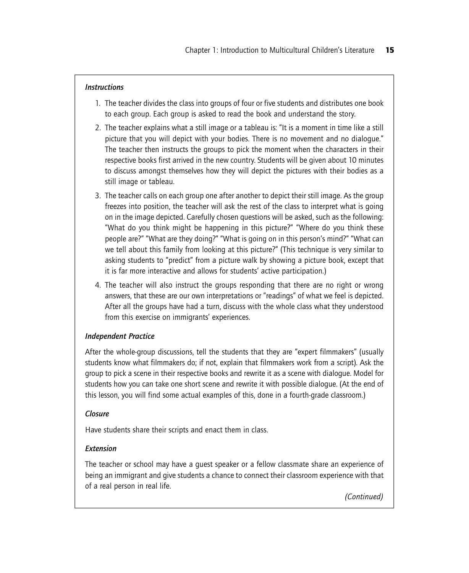## *Instructions*

- 1. The teacher divides the class into groups of four or five students and distributes one book to each group. Each group is asked to read the book and understand the story.
- 2. The teacher explains what a still image or a tableau is: "It is a moment in time like a still picture that you will depict with your bodies. There is no movement and no dialogue." The teacher then instructs the groups to pick the moment when the characters in their respective books first arrived in the new country. Students will be given about 10 minutes to discuss amongst themselves how they will depict the pictures with their bodies as a still image or tableau.
- 3. The teacher calls on each group one after another to depict their still image. As the group freezes into position, the teacher will ask the rest of the class to interpret what is going on in the image depicted. Carefully chosen questions will be asked, such as the following: "What do you think might be happening in this picture?" "Where do you think these people are?" "What are they doing?" "What is going on in this person's mind?" "What can we tell about this family from looking at this picture?" (This technique is very similar to asking students to "predict" from a picture walk by showing a picture book, except that it is far more interactive and allows for students' active participation.)
- 4. The teacher will also instruct the groups responding that there are no right or wrong answers, that these are our own interpretations or "readings" of what we feel is depicted. After all the groups have had a turn, discuss with the whole class what they understood from this exercise on immigrants' experiences.

## *Independent Practice*

After the whole-group discussions, tell the students that they are "expert filmmakers" (usually students know what filmmakers do; if not, explain that filmmakers work from a script). Ask the group to pick a scene in their respective books and rewrite it as a scene with dialogue. Model for students how you can take one short scene and rewrite it with possible dialogue. (At the end of this lesson, you will find some actual examples of this, done in a fourth-grade classroom.)

### *Closure*

Have students share their scripts and enact them in class.

## *Extension*

The teacher or school may have a guest speaker or a fellow classmate share an experience of being an immigrant and give students a chance to connect their classroom experience with that of a real person in real life.

*(Continued)*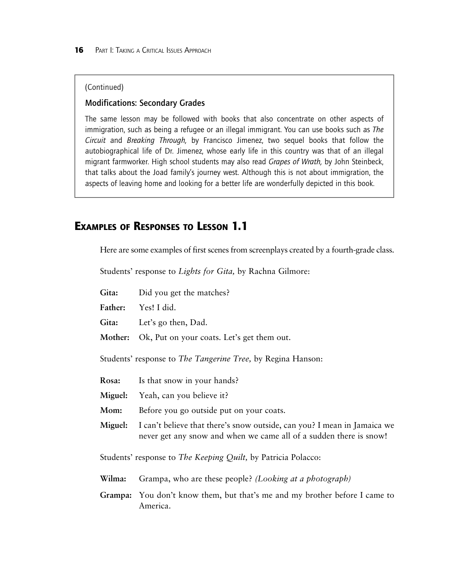#### (Continued)

#### Modifications: Secondary Grades

The same lesson may be followed with books that also concentrate on other aspects of immigration, such as being a refugee or an illegal immigrant. You can use books such as *The Circuit* and *Breaking Through,* by Francisco Jimenez, two sequel books that follow the autobiographical life of Dr. Jimenez, whose early life in this country was that of an illegal migrant farmworker. High school students may also read *Grapes of Wrath,* by John Steinbeck, that talks about the Joad family's journey west. Although this is not about immigration, the aspects of leaving home and looking for a better life are wonderfully depicted in this book.

# **EXAMPLES OF RESPONSES TO LESSON 1.1**

Here are some examples of first scenes from screenplays created by a fourth-grade class.

Students' response to *Lights for Gita,* by Rachna Gilmore:

Gita: Did you get the matches?

**Father:** Yes! I did.

**Gita:** Let's go then, Dad.

**Mother:** Ok, Put on your coats. Let's get them out.

Students' response to *The Tangerine Tree,* by Regina Hanson:

**Rosa:** Is that snow in your hands?

**Miguel:** Yeah, can you believe it?

- **Mom:** Before you go outside put on your coats.
- **Miguel:** I can't believe that there's snow outside, can you? I mean in Jamaica we never get any snow and when we came all of a sudden there is snow!

Students' response to *The Keeping Quilt,* by Patricia Polacco:

- **Wilma:** Grampa, who are these people? *(Looking at a photograph)*
- **Grampa:** You don't know them, but that's me and my brother before I came to America.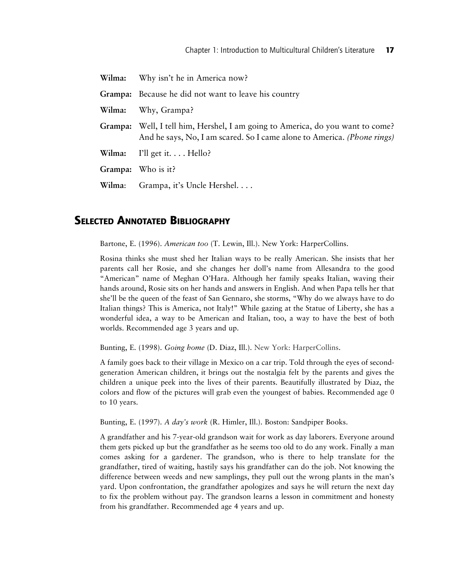| Wilma:  | Why isn't he in America now?                                                                                                                      |
|---------|---------------------------------------------------------------------------------------------------------------------------------------------------|
|         | Grampa: Because he did not want to leave his country                                                                                              |
| Wilma:  | Why, Grampa?                                                                                                                                      |
| Grampa: | Well, I tell him, Hershel, I am going to America, do you want to come?<br>And he says, No, I am scared. So I came alone to America. (Phone rings) |
| Wilma:  | I'll get it Hello?                                                                                                                                |
|         | Grampa: Who is it?                                                                                                                                |
| Wilma:  | Grampa, it's Uncle Hershel.                                                                                                                       |

# **SELECTED ANNOTATED BIBLIOGRAPHY**

Bartone, E. (1996). *American too* (T. Lewin, Ill.). New York: HarperCollins.

Rosina thinks she must shed her Italian ways to be really American. She insists that her parents call her Rosie, and she changes her doll's name from Allesandra to the good "American" name of Meghan O'Hara. Although her family speaks Italian, waving their hands around, Rosie sits on her hands and answers in English. And when Papa tells her that she'll be the queen of the feast of San Gennaro, she storms, "Why do we always have to do Italian things? This is America, not Italy!" While gazing at the Statue of Liberty, she has a wonderful idea, a way to be American and Italian, too, a way to have the best of both worlds. Recommended age 3 years and up.

Bunting, E. (1998). *Going home* (D. Diaz, Ill.). New York: HarperCollins.

A family goes back to their village in Mexico on a car trip. Told through the eyes of secondgeneration American children, it brings out the nostalgia felt by the parents and gives the children a unique peek into the lives of their parents. Beautifully illustrated by Diaz, the colors and flow of the pictures will grab even the youngest of babies. Recommended age 0 to 10 years.

Bunting, E. (1997). *A day's work* (R. Himler, Ill.). Boston: Sandpiper Books.

A grandfather and his 7-year-old grandson wait for work as day laborers. Everyone around them gets picked up but the grandfather as he seems too old to do any work. Finally a man comes asking for a gardener. The grandson, who is there to help translate for the grandfather, tired of waiting, hastily says his grandfather can do the job. Not knowing the difference between weeds and new samplings, they pull out the wrong plants in the man's yard. Upon confrontation, the grandfather apologizes and says he will return the next day to fix the problem without pay. The grandson learns a lesson in commitment and honesty from his grandfather. Recommended age 4 years and up.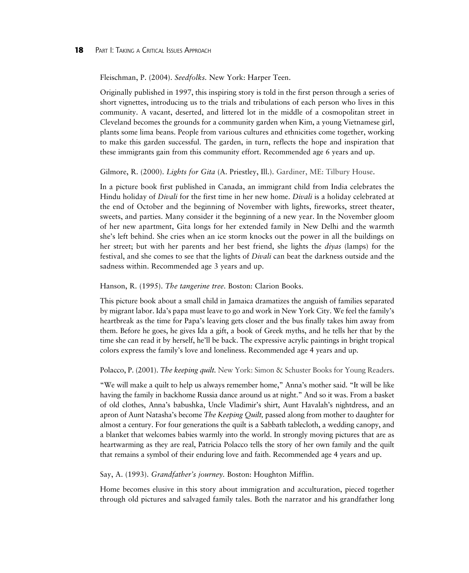#### **18** PART I: TAKING A CRITICAL ISSUES APPROACH

Fleischman, P. (2004). *Seedfolks.* New York: Harper Teen.

Originally published in 1997, this inspiring story is told in the first person through a series of short vignettes, introducing us to the trials and tribulations of each person who lives in this community. A vacant, deserted, and littered lot in the middle of a cosmopolitan street in Cleveland becomes the grounds for a community garden when Kim, a young Vietnamese girl, plants some lima beans. People from various cultures and ethnicities come together, working to make this garden successful. The garden, in turn, reflects the hope and inspiration that these immigrants gain from this community effort. Recommended age 6 years and up.

#### Gilmore, R. (2000). *Lights for Gita* (A. Priestley, Ill.). Gardiner, ME: Tilbury House.

In a picture book first published in Canada, an immigrant child from India celebrates the Hindu holiday of *Divali* for the first time in her new home. *Divali* is a holiday celebrated at the end of October and the beginning of November with lights, fireworks, street theater, sweets, and parties. Many consider it the beginning of a new year. In the November gloom of her new apartment, Gita longs for her extended family in New Delhi and the warmth she's left behind. She cries when an ice storm knocks out the power in all the buildings on her street; but with her parents and her best friend, she lights the *diyas* (lamps) for the festival, and she comes to see that the lights of *Divali* can beat the darkness outside and the sadness within. Recommended age 3 years and up.

#### Hanson, R. (1995). *The tangerine tree.* Boston: Clarion Books.

This picture book about a small child in Jamaica dramatizes the anguish of families separated by migrant labor. Ida's papa must leave to go and work in New York City. We feel the family's heartbreak as the time for Papa's leaving gets closer and the bus finally takes him away from them. Before he goes, he gives Ida a gift, a book of Greek myths, and he tells her that by the time she can read it by herself, he'll be back. The expressive acrylic paintings in bright tropical colors express the family's love and loneliness. Recommended age 4 years and up.

#### Polacco, P. (2001). *The keeping quilt.* New York: Simon & Schuster Books for Young Readers.

"We will make a quilt to help us always remember home," Anna's mother said. "It will be like having the family in backhome Russia dance around us at night." And so it was. From a basket of old clothes, Anna's babushka, Uncle Vladimir's shirt, Aunt Havalah's nightdress, and an apron of Aunt Natasha's become *The Keeping Quilt,* passed along from mother to daughter for almost a century. For four generations the quilt is a Sabbath tablecloth, a wedding canopy, and a blanket that welcomes babies warmly into the world. In strongly moving pictures that are as heartwarming as they are real, Patricia Polacco tells the story of her own family and the quilt that remains a symbol of their enduring love and faith. Recommended age 4 years and up.

#### Say, A. (1993). *Grandfather's journey.* Boston: Houghton Mifflin.

Home becomes elusive in this story about immigration and acculturation, pieced together through old pictures and salvaged family tales. Both the narrator and his grandfather long